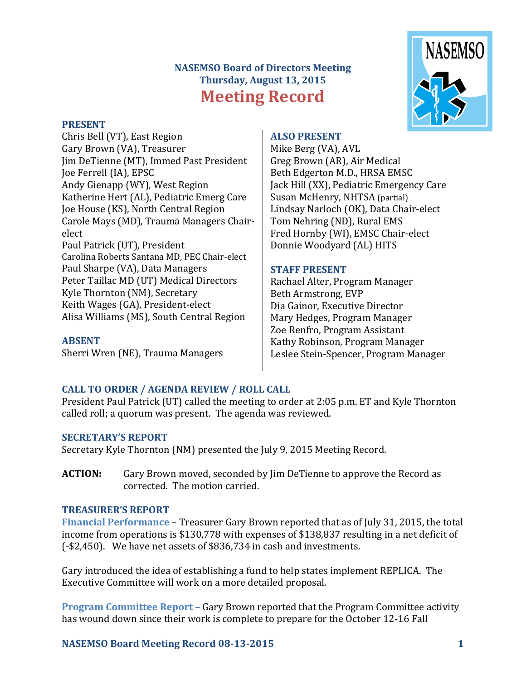# **NASEMSO Board of Directors Meeting Thursday, August 13, 2015 Meeting Record**



Chris Bell (VT), East Region Gary Brown (VA), Treasurer Jim DeTienne (MT), Immed Past President Joe Ferrell (IA), EPSC Andy Gienapp (WY), West Region Katherine Hert (AL), Pediatric Emerg Care Joe House (KS), North Central Region Carole Mays (MD), Trauma Managers Chairelect Paul Patrick (UT), President Carolina Roberts Santana MD, PEC Chair-elect Paul Sharpe (VA), Data Managers Peter Taillac MD (UT) Medical Directors Kyle Thornton (NM), Secretary Keith Wages (GA), President-elect Alisa Williams (MS), South Central Region

**ABSENT**

Sherri Wren (NE), Trauma Managers

## **ALSO PRESENT**

Mike Berg (VA), AVL Greg Brown (AR), Air Medical Beth Edgerton M.D., HRSA EMSC Jack Hill (XX), Pediatric Emergency Care Susan McHenry, NHTSA (partial) Lindsay Narloch (OK), Data Chair-elect Tom Nehring (ND), Rural EMS Fred Hornby (WI), EMSC Chair-elect Donnie Woodyard (AL) HITS

# **STAFF PRESENT**

Rachael Alter, Program Manager Beth Armstrong, EVP Dia Gainor, Executive Director Mary Hedges, Program Manager Zoe Renfro, Program Assistant Kathy Robinson, Program Manager Leslee Stein-Spencer, Program Manager

# **CALL TO ORDER / AGENDA REVIEW / ROLL CALL**

President Paul Patrick (UT) called the meeting to order at 2:05 p.m. ET and Kyle Thornton called roll; a quorum was present. The agenda was reviewed.

# **SECRETARY'S REPORT**

Secretary Kyle Thornton (NM) presented the July 9, 2015 Meeting Record.

**ACTION:** Gary Brown moved, seconded by Jim DeTienne to approve the Record as corrected. The motion carried.

# **TREASURER'S REPORT**

**Financial Performance** – Treasurer Gary Brown reported that as of July 31, 2015, the total income from operations is \$130,778 with expenses of \$138,837 resulting in a net deficit of (-\$2,450). We have net assets of \$836,734 in cash and investments.

Gary introduced the idea of establishing a fund to help states implement REPLICA. The Executive Committee will work on a more detailed proposal.

**Program Committee Report –** Gary Brown reported that the Program Committee activity has wound down since their work is complete to prepare for the October 12-16 Fall

# **NASEMSO Board Meeting Record 08-13-2015 1**

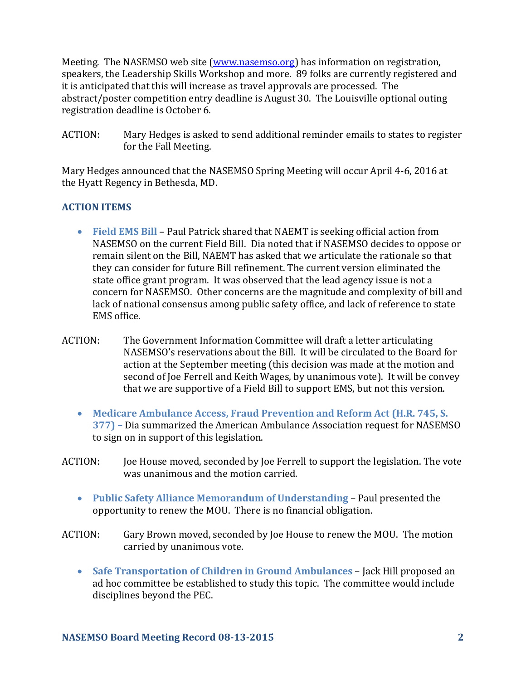Meeting. The NASEMSO web site [\(www.nasemso.org\)](http://www.nasemso.org/) has information on registration, speakers, the Leadership Skills Workshop and more. 89 folks are currently registered and it is anticipated that this will increase as travel approvals are processed. The abstract/poster competition entry deadline is August 30. The Louisville optional outing registration deadline is October 6.

ACTION: Mary Hedges is asked to send additional reminder emails to states to register for the Fall Meeting.

Mary Hedges announced that the NASEMSO Spring Meeting will occur April 4-6, 2016 at the Hyatt Regency in Bethesda, MD.

## **ACTION ITEMS**

- **Field EMS Bill** Paul Patrick shared that NAEMT is seeking official action from NASEMSO on the current Field Bill. Dia noted that if NASEMSO decides to oppose or remain silent on the Bill, NAEMT has asked that we articulate the rationale so that they can consider for future Bill refinement. The current version eliminated the state office grant program. It was observed that the lead agency issue is not a concern for NASEMSO. Other concerns are the magnitude and complexity of bill and lack of national consensus among public safety office, and lack of reference to state EMS office.
- ACTION: The Government Information Committee will draft a letter articulating NASEMSO's reservations about the Bill. It will be circulated to the Board for action at the September meeting (this decision was made at the motion and second of Joe Ferrell and Keith Wages, by unanimous vote). It will be convey that we are supportive of a Field Bill to support EMS, but not this version.
	- **Medicare Ambulance Access, Fraud Prevention and Reform Act (H.R. 745, S. 377) –** Dia summarized the American Ambulance Association request for NASEMSO to sign on in support of this legislation.
- ACTION: Joe House moved, seconded by Joe Ferrell to support the legislation. The vote was unanimous and the motion carried.
	- **Public Safety Alliance Memorandum of Understanding** Paul presented the opportunity to renew the MOU. There is no financial obligation.
- ACTION: Gary Brown moved, seconded by Joe House to renew the MOU. The motion carried by unanimous vote.
	- **Safe Transportation of Children in Ground Ambulances**  Jack Hill proposed an ad hoc committee be established to study this topic. The committee would include disciplines beyond the PEC.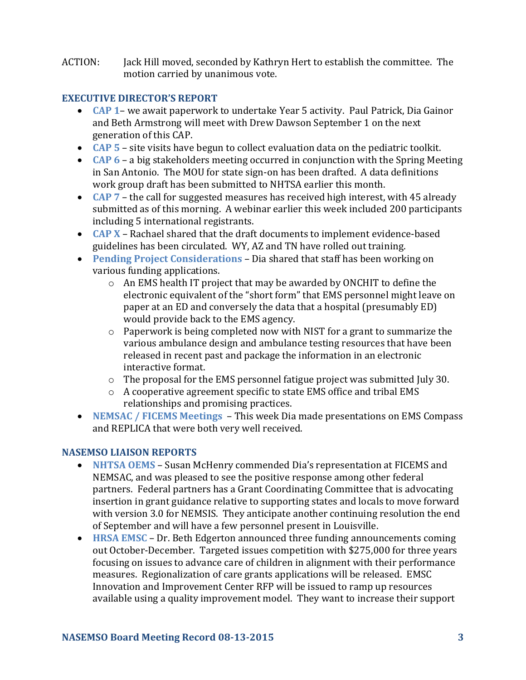#### ACTION: Jack Hill moved, seconded by Kathryn Hert to establish the committee. The motion carried by unanimous vote.

#### **EXECUTIVE DIRECTOR'S REPORT**

- **CAP 1** we await paperwork to undertake Year 5 activity. Paul Patrick, Dia Gainor and Beth Armstrong will meet with Drew Dawson September 1 on the next generation of this CAP.
- **CAP 5**  site visits have begun to collect evaluation data on the pediatric toolkit.
- **CAP 6**  a big stakeholders meeting occurred in conjunction with the Spring Meeting in San Antonio. The MOU for state sign-on has been drafted. A data definitions work group draft has been submitted to NHTSA earlier this month.
- **CAP 7**  the call for suggested measures has received high interest, with 45 already submitted as of this morning. A webinar earlier this week included 200 participants including 5 international registrants.
- **CAP X** Rachael shared that the draft documents to implement evidence-based guidelines has been circulated. WY, AZ and TN have rolled out training.
- **Pending Project Considerations**  Dia shared that staff has been working on various funding applications.
	- o An EMS health IT project that may be awarded by ONCHIT to define the electronic equivalent of the "short form" that EMS personnel might leave on paper at an ED and conversely the data that a hospital (presumably ED) would provide back to the EMS agency.
	- o Paperwork is being completed now with NIST for a grant to summarize the various ambulance design and ambulance testing resources that have been released in recent past and package the information in an electronic interactive format.
	- o The proposal for the EMS personnel fatigue project was submitted July 30.
	- o A cooperative agreement specific to state EMS office and tribal EMS relationships and promising practices.
- **NEMSAC / FICEMS Meetings**  This week Dia made presentations on EMS Compass and REPLICA that were both very well received.

## **NASEMSO LIAISON REPORTS**

- **NHTSA OEMS** Susan McHenry commended Dia's representation at FICEMS and NEMSAC, and was pleased to see the positive response among other federal partners. Federal partners has a Grant Coordinating Committee that is advocating insertion in grant guidance relative to supporting states and locals to move forward with version 3.0 for NEMSIS. They anticipate another continuing resolution the end of September and will have a few personnel present in Louisville.
- **HRSA EMSC** Dr. Beth Edgerton announced three funding announcements coming out October-December. Targeted issues competition with \$275,000 for three years focusing on issues to advance care of children in alignment with their performance measures. Regionalization of care grants applications will be released. EMSC Innovation and Improvement Center RFP will be issued to ramp up resources available using a quality improvement model. They want to increase their support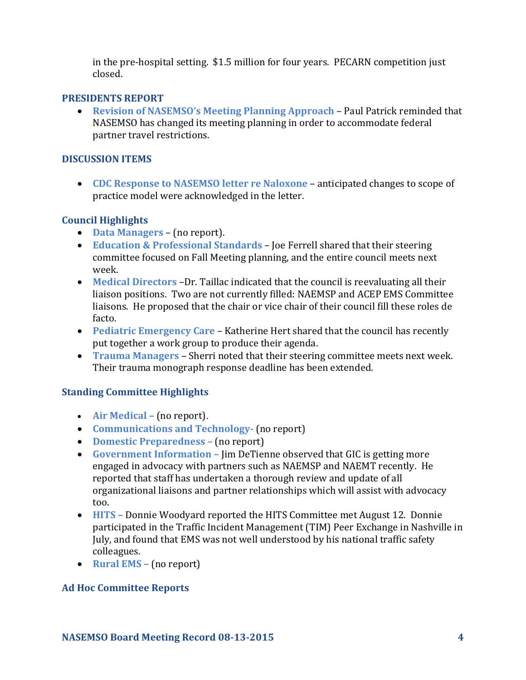in the pre-hospital setting. \$1.5 million for four years. PECARN competition just closed.

#### **PRESIDENTS REPORT**

 **Revision of NASEMSO's Meeting Planning Approach** – Paul Patrick reminded that NASEMSO has changed its meeting planning in order to accommodate federal partner travel restrictions.

#### **DISCUSSION ITEMS**

 **CDC Response to NASEMSO letter re Naloxone** – anticipated changes to scope of practice model were acknowledged in the letter.

#### **Council Highlights**

- **Data Managers** (no report).
- **Education & Professional Standards** Joe Ferrell shared that their steering committee focused on Fall Meeting planning, and the entire council meets next week.
- **Medical Directors** –Dr. Taillac indicated that the council is reevaluating all their liaison positions. Two are not currently filled: NAEMSP and ACEP EMS Committee liaisons. He proposed that the chair or vice chair of their council fill these roles de facto.
- **Pediatric Emergency Care** Katherine Hert shared that the council has recently put together a work group to produce their agenda.
- **Trauma Managers** Sherri noted that their steering committee meets next week. Their trauma monograph response deadline has been extended.

#### **Standing Committee Highlights**

- **Air Medical –** (no report).
- **Communications and Technology-** (no report)
- **Domestic Preparedness –** (no report)
- **Government Information** Jim DeTienne observed that GIC is getting more engaged in advocacy with partners such as NAEMSP and NAEMT recently. He reported that staff has undertaken a thorough review and update of all organizational liaisons and partner relationships which will assist with advocacy too.
- **HITS –** Donnie Woodyard reported the HITS Committee met August 12. Donnie participated in the Traffic Incident Management (TIM) Peer Exchange in Nashville in July, and found that EMS was not well understood by his national traffic safety colleagues.
- **Rural EMS –** (no report)

## **Ad Hoc Committee Reports**